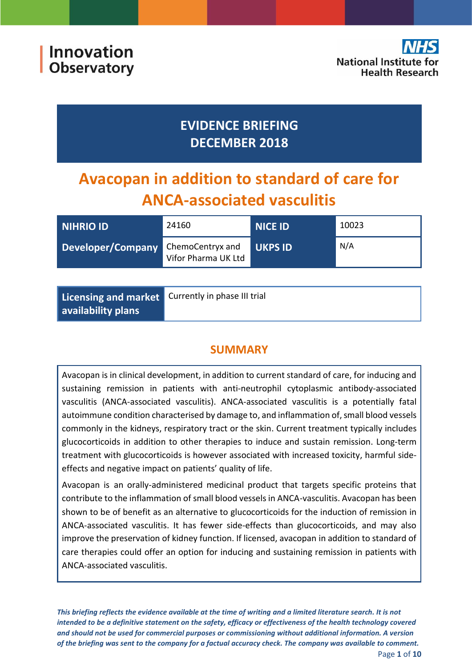Innovation **Observatory** 



## **EVIDENCE BRIEFING DECEMBER 2018**

# **Avacopan in addition to standard of care for ANCA-associated vasculitis**

| NIHRIO ID         | 24160                                   | <b>NICE ID</b> | 10023 |
|-------------------|-----------------------------------------|----------------|-------|
| Developer/Company | ChemoCentryx and<br>Vifor Pharma UK Ltd | <b>UKPS ID</b> | N/A   |

| Licensing and market Currently in phase III trial |  |
|---------------------------------------------------|--|
| availability plans                                |  |

## **SUMMARY**

Avacopan is in clinical development, in addition to current standard of care, for inducing and sustaining remission in patients with anti-neutrophil cytoplasmic antibody-associated vasculitis (ANCA-associated vasculitis). ANCA-associated vasculitis is a potentially fatal autoimmune condition characterised by damage to, and inflammation of, small blood vessels commonly in the kidneys, respiratory tract or the skin. Current treatment typically includes glucocorticoids in addition to other therapies to induce and sustain remission. Long-term treatment with glucocorticoids is however associated with increased toxicity, harmful sideeffects and negative impact on patients' quality of life.

Avacopan is an orally-administered medicinal product that targets specific proteins that contribute to the inflammation of small blood vessels in ANCA-vasculitis. Avacopan has been shown to be of benefit as an alternative to glucocorticoids for the induction of remission in ANCA-associated vasculitis. It has fewer side-effects than glucocorticoids, and may also improve the preservation of kidney function. If licensed, avacopan in addition to standard of care therapies could offer an option for inducing and sustaining remission in patients with ANCA-associated vasculitis.

*This briefing reflects the evidence available at the time of writing and a limited literature search. It is not intended to be a definitive statement on the safety, efficacy or effectiveness of the health technology covered and should not be used for commercial purposes or commissioning without additional information. A version of the briefing was sent to the company for a factual accuracy check. The company was available to comment.* Page **1** of **10**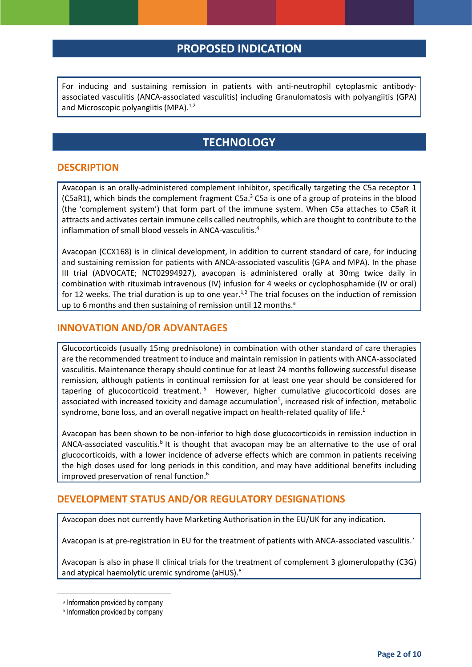## **PROPOSED INDICATION**

For inducing and sustaining remission in patients with anti-neutrophil cytoplasmic antibodyassociated vasculitis (ANCA-associated vasculitis) including Granulomatosis with polyangiitis (GPA) and Microscopic polyangiitis (MPA).<sup>1,2</sup>

## <span id="page-1-4"></span><span id="page-1-3"></span><span id="page-1-1"></span><span id="page-1-0"></span>**TECHNOLOGY**

#### **DESCRIPTION**

Avacopan is an orally-administered complement inhibitor, specifically targeting the C5a receptor 1 (C5aR1), which binds the complement fragment C5a.<sup>3</sup> C5a is one of a group of proteins in the blood (the 'complement system') that form part of the immune system. When C5a attaches to C5aR it attracts and activates certain immune cells called neutrophils, which are thought to contribute to the inflammation of small blood vessels in ANCA-vasculitis.<sup>4</sup>

Avacopan (CCX168) is in clinical development, in addition to current standard of care, for inducing and sustaining remission for patients with ANCA-associated vasculitis (GPA and MPA). In the phase III trial (ADVOCATE; NCT02994927), avacopan is administered orally at 30mg twice daily in combination with rituximab intravenous (IV) infusion for 4 weeks or cyclophosphamide (IV or oral) for 12 weeks. The trial duration is up to one year.<sup>[1,](#page-1-0)[2](#page-1-1)</sup> The trial focuses on the induction of remission up to 6 months and then sustaining of remission until 12 months.<sup>a</sup>

#### **INNOVATION AND/OR ADVANTAGES**

<span id="page-1-5"></span><span id="page-1-2"></span>Glucocorticoids (usually 15mg prednisolone) in combination with other standard of care therapies are the recommended treatment to induce and maintain remission in patients with ANCA-associated vasculitis. Maintenance therapy should continue for at least 24 months following successful disease remission, although patients in continual remission for at least one year should be considered for tapering of glucocorticoid treatment.<sup>5</sup> However, higher cumulative glucocorticoid doses are associated with i[n](#page-1-2)creased toxicity and damage accumulation<sup>5</sup>, increased risk of infection, metabolic syndrome, bone loss, and an overall negative impact on health-related quality of life[.](#page-1-0)<sup>1</sup>

<span id="page-1-6"></span>Avacopan has been shown to be non-inferior to high dose glucocorticoids in remission induction in ANCA-associated vasculitis.<sup>b</sup> It is thought that avacopan may be an alternative to the use of oral glucocorticoids, with a lower incidence of adverse effects which are common in patients receiving the high doses used for long periods in this condition, and may have additional benefits including improved preservation of renal function. 6

#### **DEVELOPMENT STATUS AND/OR REGULATORY DESIGNATIONS**

Avacopan does not currently have Marketing Authorisation in the EU/UK for any indication.

Avacopan is at pre-registration in EU for the treatment of patients with ANCA-associated vasculitis.<sup>7</sup>

<span id="page-1-7"></span>Avacopan is also in phase II clinical trials for the treatment of complement 3 glomerulopathy (C3G) and atypical haemolytic uremic syndrome (aHUS).<sup>8</sup>

**.** 

a Information provided by company

**b** Information provided by company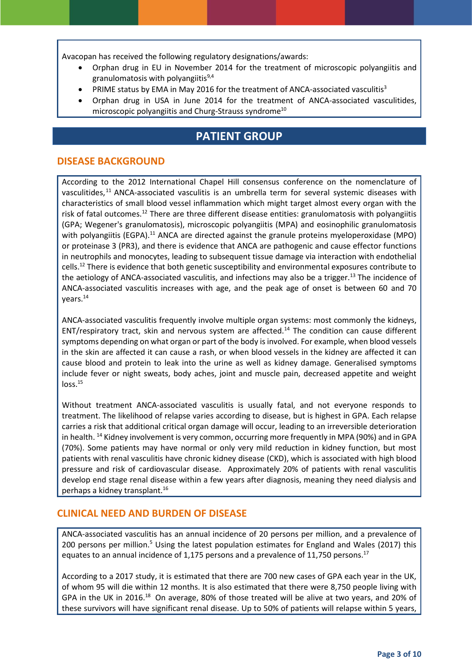Avacopan has received the following regulatory designations/awards:

- Orphan drug in EU in November 2014 for the treatment of microscopic polyangiitis and granulomatosis with polyangiitis $9,4$
- PRIME [s](#page-1-4)tatus by EMA in May 2016 for the treatment of ANCA-associated vasculitis<sup>3</sup>
- Orphan drug in USA in June 2014 for the treatment of ANCA-associated vasculitides, microscopic polyangiitis and Churg-Strauss syndrome<sup>10</sup>

## **PATIENT GROUP**

#### **DISEASE BACKGROUND**

<span id="page-2-1"></span>According to the 2012 International Chapel Hill consensus conference on the nomenclature of vasculitides,<sup>11</sup> ANCA-associated vasculitis is an umbrella term for several systemic diseases with characteristics of small blood vessel inflammation which might target almost every organ with the risk of fatal outcomes.<sup>[12](#page-2-0)</sup> There are three different disease entities: granulomatosis with polyangiitis (GPA; Wegener's granulomatosis), microscopic polyangiitis (MPA) and eosinophilic granulomatosis with polyangiitis (EGPA).<sup>[11](#page-2-1)</sup> ANCA are directed against the granule proteins myeloperoxidase (MPO) or proteinase 3 (PR3), and there is evidence that ANCA are pathogenic and cause effector functions in neutrophils and monocytes, leading to subsequent tissue damage via interaction with endothelial cells.<sup>12</sup> There is evidence that both genetic susceptibility and environmental exposures contribute to the aetiology of ANCA-associated vasculitis, and infections may also be a trigger.<sup>13</sup> The incidence of ANCA-associated vasculitis increases with age, and the peak age of onset is between 60 and 70 years.<sup>14</sup>

<span id="page-2-2"></span><span id="page-2-0"></span>ANCA-associated vasculitis frequently involve multiple organ systems: most commonly the kidneys, ENT/respiratory tract, skin and nervous system are affected.<sup>[14](#page-2-2)</sup> The condition can cause different symptoms depending on what organ or part of the body is involved. For example, when blood vessels in the skin are affected it can cause a rash, or when blood vessels in the kidney are affected it can cause blood and protein to leak into the urine as well as kidney damage. Generalised symptoms include fever or night sweats, body aches, joint and muscle pain, decreased appetite and weight  $loss.<sup>15</sup>$ 

Without treatment ANCA-associated vasculitis is usually fatal, and not everyone responds to treatment. The likelihood of relapse varies according to disease, but is highest in GPA. Each relapse carries a risk that additional critical organ damage will occur, leading to an irreversible deterioration in health. <sup>[14](#page-2-2)</sup> Kidney involvement is very common, occurring more frequently in MPA (90%) and in GPA (70%). Some patients may have normal or only very mild reduction in kidney function, but most patients with renal vasculitis have chronic kidney disease (CKD), which is associated with high blood pressure and risk of cardiovascular disease. Approximately 20% of patients with renal vasculitis develop end stage renal disease within a few years after diagnosis, meaning they need dialysis and perhaps a kidney transplant.<sup>16</sup>

#### **CLINICAL NEED AND BURDEN OF DISEASE**

ANCA-associated vasculitis has an annual incidence of 20 persons per million, and a prevalence of 200 persons per million.<sup>[5](#page-1-2)</sup> Using the latest population estimates for England and Wales (2017) this equates to an annual incidence of 1,175 persons and a prevalence of 11,750 persons.<sup>17</sup>

According to a 2017 study, it is estimated that there are 700 new cases of GPA each year in the UK, of whom 95 will die within 12 months. It is also estimated that there were 8,750 people living with GPA in the UK in 2016.<sup>18</sup> On average, 80% of those treated will be alive at two years, and 20% of these survivors will have significant renal disease. Up to 50% of patients will relapse within 5 years,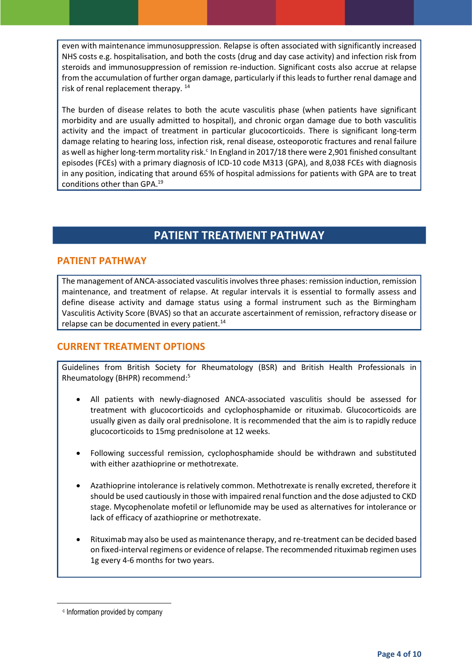even with maintenance immunosuppression. Relapse is often associated with significantly increased NHS costs e.g. hospitalisation, and both the costs (drug and day case activity) and infection risk from steroids and immunosuppression of remission re-induction. Significant costs also accrue at relapse from the accumulation of further organ damage, particularly if this leads to further renal damage and risk of renal replacement therapy. [14](#page-2-2)

The burden of disease relates to both the acute vasculitis phase (when patients have significant morbidity and are usually admitted to hospital), and chronic organ damage due to both vasculitis activity and the impact of treatment in particular glucocorticoids. There is significant long-term damage relating to hearing loss, infection risk, renal disease, osteoporotic fractures and renal failure as well as higher long-term mortality risk.<sup>c</sup> In England in 2017/18 there were 2,901 finished consultant episodes (FCEs) with a primary diagnosis of ICD-10 code M313 (GPA), and 8,038 FCEs with diagnosis in any position, indicating that around 65% of hospital admissions for patients with GPA are to treat conditions other than GPA.<sup>19</sup>

## **PATIENT TREATMENT PATHWAY**

#### **PATIENT PATHWAY**

The management of ANCA-associated vasculitis involves three phases: remission induction, remission maintenance, and treatment of relapse. At regular intervals it is essential to formally assess and define disease activity and damage status using a formal instrument such as the Birmingham Vasculitis Activity Score (BVAS) so that an accurate ascertainment of remission, refractory disease or relapse can be documented in every patient.<sup>[14](#page-2-2)</sup>

#### **CURRENT TREATMENT OPTIONS**

Guidelines from British Society for Rheumatology (BSR) and British Health Professionals in Rheumatology (BHPR) recommend[:](#page-1-5) 5

- All patients with newly-diagnosed ANCA-associated vasculitis should be assessed for treatment with glucocorticoids and cyclophosphamide or rituximab. Glucocorticoids are usually given as daily oral prednisolone. It is recommended that the aim is to rapidly reduce glucocorticoids to 15mg prednisolone at 12 weeks.
- Following successful remission, cyclophosphamide should be withdrawn and substituted with either azathioprine or methotrexate.
- Azathioprine intolerance is relatively common. Methotrexate is renally excreted, therefore it should be used cautiously in those with impaired renal function and the dose adjusted to CKD stage. Mycophenolate mofetil or leflunomide may be used as alternatives for intolerance or lack of efficacy of azathioprine or methotrexate.
- Rituximab may also be used as maintenance therapy, and re-treatment can be decided based on fixed-interval regimens or evidence of relapse. The recommended rituximab regimen uses 1g every 4-6 months for two years.

**.** 

c Information provided by company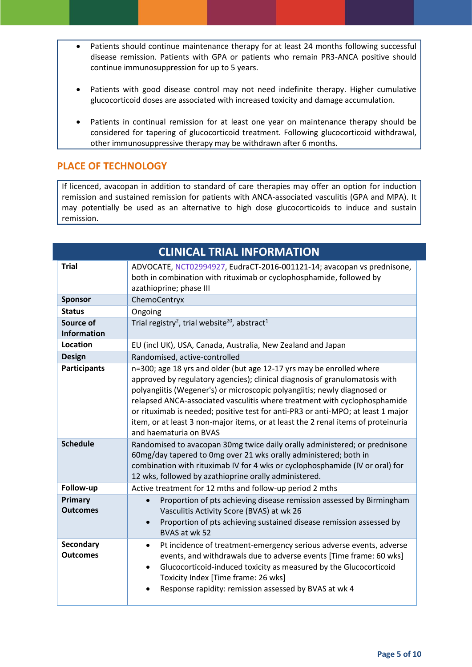- Patients should continue maintenance therapy for at least 24 months following successful disease remission. Patients with GPA or patients who remain PR3-ANCA positive should continue immunosuppression for up to 5 years.
- Patients with good disease control may not need indefinite therapy. Higher cumulative glucocorticoid doses are associated with increased toxicity and damage accumulation.
- Patients in continual remission for at least one year on maintenance therapy should be considered for tapering of glucocorticoid treatment. Following glucocorticoid withdrawal, other immunosuppressive therapy may be withdrawn after 6 months.

#### **PLACE OF TECHNOLOGY**

If licenced, avacopan in addition to standard of care therapies may offer an option for induction remission and sustained remission for patients with ANCA-associated vasculitis (GPA and MPA). It may potentially be used as an alternative to high dose glucocorticoids to induce and sustain remission.

| <b>CLINICAL TRIAL INFORMATION</b>   |                                                                                                                                                                                                                                                                                                                                                                                                                                                                                                                 |
|-------------------------------------|-----------------------------------------------------------------------------------------------------------------------------------------------------------------------------------------------------------------------------------------------------------------------------------------------------------------------------------------------------------------------------------------------------------------------------------------------------------------------------------------------------------------|
| <b>Trial</b>                        | ADVOCATE, NCT02994927, EudraCT-2016-001121-14; avacopan vs prednisone,<br>both in combination with rituximab or cyclophosphamide, followed by<br>azathioprine; phase III                                                                                                                                                                                                                                                                                                                                        |
| <b>Sponsor</b>                      | ChemoCentryx                                                                                                                                                                                                                                                                                                                                                                                                                                                                                                    |
| <b>Status</b>                       | Ongoing                                                                                                                                                                                                                                                                                                                                                                                                                                                                                                         |
| Source of<br><b>Information</b>     | Trial registry <sup>2</sup> , trial website <sup>20</sup> , abstract <sup>1</sup>                                                                                                                                                                                                                                                                                                                                                                                                                               |
| Location                            | EU (incl UK), USA, Canada, Australia, New Zealand and Japan                                                                                                                                                                                                                                                                                                                                                                                                                                                     |
| <b>Design</b>                       | Randomised, active-controlled                                                                                                                                                                                                                                                                                                                                                                                                                                                                                   |
| <b>Participants</b>                 | n=300; age 18 yrs and older (but age 12-17 yrs may be enrolled where<br>approved by regulatory agencies); clinical diagnosis of granulomatosis with<br>polyangiitis (Wegener's) or microscopic polyangiitis; newly diagnosed or<br>relapsed ANCA-associated vasculitis where treatment with cyclophosphamide<br>or rituximab is needed; positive test for anti-PR3 or anti-MPO; at least 1 major<br>item, or at least 3 non-major items, or at least the 2 renal items of proteinuria<br>and haematuria on BVAS |
| <b>Schedule</b>                     | Randomised to avacopan 30mg twice daily orally administered; or prednisone<br>60mg/day tapered to 0mg over 21 wks orally administered; both in<br>combination with rituximab IV for 4 wks or cyclophosphamide (IV or oral) for<br>12 wks, followed by azathioprine orally administered.                                                                                                                                                                                                                         |
| Follow-up                           | Active treatment for 12 mths and follow-up period 2 mths                                                                                                                                                                                                                                                                                                                                                                                                                                                        |
| Primary<br><b>Outcomes</b>          | Proportion of pts achieving disease remission assessed by Birmingham<br>Vasculitis Activity Score (BVAS) at wk 26<br>Proportion of pts achieving sustained disease remission assessed by<br>$\bullet$<br>BVAS at wk 52                                                                                                                                                                                                                                                                                          |
| <b>Secondary</b><br><b>Outcomes</b> | Pt incidence of treatment-emergency serious adverse events, adverse<br>$\bullet$<br>events, and withdrawals due to adverse events [Time frame: 60 wks]<br>Glucocorticoid-induced toxicity as measured by the Glucocorticoid<br>$\bullet$<br>Toxicity Index [Time frame: 26 wks]<br>Response rapidity: remission assessed by BVAS at wk 4                                                                                                                                                                        |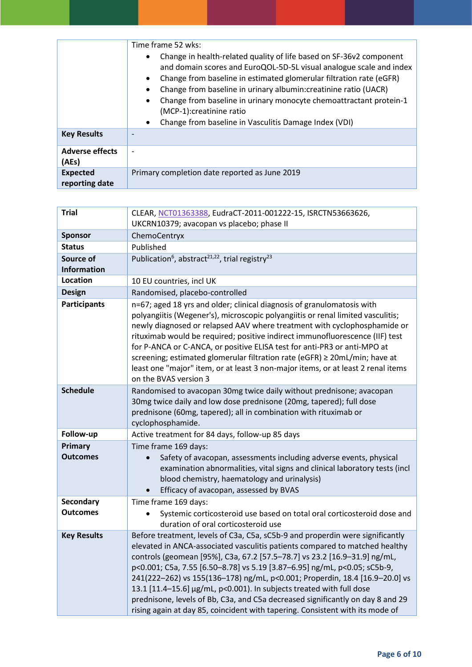|                                   | Time frame 52 wks:<br>Change in health-related quality of life based on SF-36v2 component<br>and domain scores and EuroQOL-5D-5L visual analogue scale and index<br>Change from baseline in estimated glomerular filtration rate (eGFR)<br>Change from baseline in urinary albumin: creatinine ratio (UACR)<br>Change from baseline in urinary monocyte chemoattractant protein-1<br>(MCP-1):creatinine ratio<br>Change from baseline in Vasculitis Damage Index (VDI) |
|-----------------------------------|------------------------------------------------------------------------------------------------------------------------------------------------------------------------------------------------------------------------------------------------------------------------------------------------------------------------------------------------------------------------------------------------------------------------------------------------------------------------|
| <b>Key Results</b>                |                                                                                                                                                                                                                                                                                                                                                                                                                                                                        |
| <b>Adverse effects</b><br>(AEs)   |                                                                                                                                                                                                                                                                                                                                                                                                                                                                        |
| <b>Expected</b><br>reporting date | Primary completion date reported as June 2019                                                                                                                                                                                                                                                                                                                                                                                                                          |

<span id="page-5-0"></span>

| <b>Trial</b>        | CLEAR, NCT01363388, EudraCT-2011-001222-15, ISRCTN53663626,                                                                                                                                                                                                                                                                                                                                                                                                                                                                                                                                                                                      |
|---------------------|--------------------------------------------------------------------------------------------------------------------------------------------------------------------------------------------------------------------------------------------------------------------------------------------------------------------------------------------------------------------------------------------------------------------------------------------------------------------------------------------------------------------------------------------------------------------------------------------------------------------------------------------------|
|                     | UKCRN10379; avacopan vs placebo; phase II                                                                                                                                                                                                                                                                                                                                                                                                                                                                                                                                                                                                        |
| <b>Sponsor</b>      | ChemoCentryx                                                                                                                                                                                                                                                                                                                                                                                                                                                                                                                                                                                                                                     |
| <b>Status</b>       | Published                                                                                                                                                                                                                                                                                                                                                                                                                                                                                                                                                                                                                                        |
| Source of           | Publication <sup>6</sup> , abstract <sup>21,22</sup> , trial registry <sup>23</sup>                                                                                                                                                                                                                                                                                                                                                                                                                                                                                                                                                              |
| <b>Information</b>  |                                                                                                                                                                                                                                                                                                                                                                                                                                                                                                                                                                                                                                                  |
| Location            | 10 EU countries, incl UK                                                                                                                                                                                                                                                                                                                                                                                                                                                                                                                                                                                                                         |
| <b>Design</b>       | Randomised, placebo-controlled                                                                                                                                                                                                                                                                                                                                                                                                                                                                                                                                                                                                                   |
| <b>Participants</b> | n=67; aged 18 yrs and older; clinical diagnosis of granulomatosis with<br>polyangiitis (Wegener's), microscopic polyangiitis or renal limited vasculitis;<br>newly diagnosed or relapsed AAV where treatment with cyclophosphamide or<br>rituximab would be required; positive indirect immunofluorescence (IIF) test<br>for P-ANCA or C-ANCA, or positive ELISA test for anti-PR3 or anti-MPO at<br>screening; estimated glomerular filtration rate (eGFR) ≥ 20mL/min; have at<br>least one "major" item, or at least 3 non-major items, or at least 2 renal items<br>on the BVAS version 3                                                     |
| <b>Schedule</b>     | Randomised to avacopan 30mg twice daily without prednisone; avacopan<br>30mg twice daily and low dose prednisone (20mg, tapered); full dose<br>prednisone (60mg, tapered); all in combination with rituximab or<br>cyclophosphamide.                                                                                                                                                                                                                                                                                                                                                                                                             |
| Follow-up           | Active treatment for 84 days, follow-up 85 days                                                                                                                                                                                                                                                                                                                                                                                                                                                                                                                                                                                                  |
| Primary             | Time frame 169 days:                                                                                                                                                                                                                                                                                                                                                                                                                                                                                                                                                                                                                             |
| <b>Outcomes</b>     | Safety of avacopan, assessments including adverse events, physical<br>$\bullet$<br>examination abnormalities, vital signs and clinical laboratory tests (incl<br>blood chemistry, haematology and urinalysis)<br>Efficacy of avacopan, assessed by BVAS                                                                                                                                                                                                                                                                                                                                                                                          |
| <b>Secondary</b>    | Time frame 169 days:                                                                                                                                                                                                                                                                                                                                                                                                                                                                                                                                                                                                                             |
| <b>Outcomes</b>     | Systemic corticosteroid use based on total oral corticosteroid dose and<br>duration of oral corticosteroid use                                                                                                                                                                                                                                                                                                                                                                                                                                                                                                                                   |
| <b>Key Results</b>  | Before treatment, levels of C3a, C5a, sC5b-9 and properdin were significantly<br>elevated in ANCA-associated vasculitis patients compared to matched healthy<br>controls (geomean [95%], C3a, 67.2 [57.5-78.7] vs 23.2 [16.9-31.9] ng/mL,<br>p<0.001; C5a, 7.55 [6.50-8.78] vs 5.19 [3.87-6.95] ng/mL, p<0.05; sC5b-9,<br>241(222-262) vs 155(136-178) ng/mL, p<0.001; Properdin, 18.4 [16.9-20.0] vs<br>13.1 [11.4-15.6] µg/mL, p<0.001). In subjects treated with full dose<br>prednisone, levels of Bb, C3a, and C5a decreased significantly on day 8 and 29<br>rising again at day 85, coincident with tapering. Consistent with its mode of |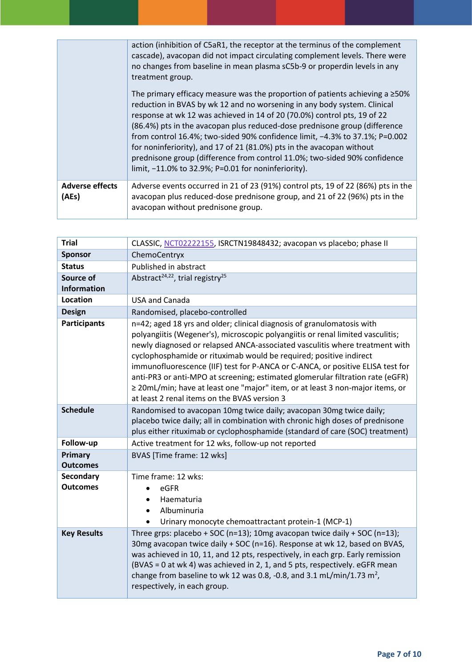|                                 | action (inhibition of C5aR1, the receptor at the terminus of the complement<br>cascade), avacopan did not impact circulating complement levels. There were<br>no changes from baseline in mean plasma sC5b-9 or properdin levels in any<br>treatment group.<br>The primary efficacy measure was the proportion of patients achieving a $\geq$ 50%<br>reduction in BVAS by wk 12 and no worsening in any body system. Clinical<br>response at wk 12 was achieved in 14 of 20 (70.0%) control pts, 19 of 22<br>(86.4%) pts in the avacopan plus reduced-dose prednisone group (difference |
|---------------------------------|-----------------------------------------------------------------------------------------------------------------------------------------------------------------------------------------------------------------------------------------------------------------------------------------------------------------------------------------------------------------------------------------------------------------------------------------------------------------------------------------------------------------------------------------------------------------------------------------|
|                                 | from control 16.4%; two-sided 90% confidence limit, -4.3% to 37.1%; P=0.002<br>for noninferiority), and 17 of 21 (81.0%) pts in the avacopan without<br>prednisone group (difference from control 11.0%; two-sided 90% confidence<br>limit, $-11.0\%$ to 32.9%; P=0.01 for noninferiority).                                                                                                                                                                                                                                                                                             |
| <b>Adverse effects</b><br>(AEs) | Adverse events occurred in 21 of 23 (91%) control pts, 19 of 22 (86%) pts in the<br>avacopan plus reduced-dose prednisone group, and 21 of 22 (96%) pts in the<br>avacopan without prednisone group.                                                                                                                                                                                                                                                                                                                                                                                    |

| <b>Trial</b>                        | CLASSIC, NCT02222155, ISRCTN19848432; avacopan vs placebo; phase II                                                                                                                                                                                                                                                                                                                                                                                                                                                                                                                                                 |
|-------------------------------------|---------------------------------------------------------------------------------------------------------------------------------------------------------------------------------------------------------------------------------------------------------------------------------------------------------------------------------------------------------------------------------------------------------------------------------------------------------------------------------------------------------------------------------------------------------------------------------------------------------------------|
| <b>Sponsor</b>                      | ChemoCentryx                                                                                                                                                                                                                                                                                                                                                                                                                                                                                                                                                                                                        |
| <b>Status</b>                       | Published in abstract                                                                                                                                                                                                                                                                                                                                                                                                                                                                                                                                                                                               |
| Source of<br><b>Information</b>     | Abstract <sup>24,22</sup> , trial registry <sup>25</sup>                                                                                                                                                                                                                                                                                                                                                                                                                                                                                                                                                            |
| Location                            | <b>USA and Canada</b>                                                                                                                                                                                                                                                                                                                                                                                                                                                                                                                                                                                               |
| <b>Design</b>                       | Randomised, placebo-controlled                                                                                                                                                                                                                                                                                                                                                                                                                                                                                                                                                                                      |
| <b>Participants</b>                 | n=42; aged 18 yrs and older; clinical diagnosis of granulomatosis with<br>polyangiitis (Wegener's), microscopic polyangiitis or renal limited vasculitis;<br>newly diagnosed or relapsed ANCA-associated vasculitis where treatment with<br>cyclophosphamide or rituximab would be required; positive indirect<br>immunofluorescence (IIF) test for P-ANCA or C-ANCA, or positive ELISA test for<br>anti-PR3 or anti-MPO at screening; estimated glomerular filtration rate (eGFR)<br>≥ 20mL/min; have at least one "major" item, or at least 3 non-major items, or<br>at least 2 renal items on the BVAS version 3 |
| <b>Schedule</b>                     | Randomised to avacopan 10mg twice daily; avacopan 30mg twice daily;<br>placebo twice daily; all in combination with chronic high doses of prednisone<br>plus either rituximab or cyclophosphamide (standard of care (SOC) treatment)                                                                                                                                                                                                                                                                                                                                                                                |
| Follow-up                           | Active treatment for 12 wks, follow-up not reported                                                                                                                                                                                                                                                                                                                                                                                                                                                                                                                                                                 |
| <b>Primary</b><br><b>Outcomes</b>   | BVAS [Time frame: 12 wks]                                                                                                                                                                                                                                                                                                                                                                                                                                                                                                                                                                                           |
| <b>Secondary</b><br><b>Outcomes</b> | Time frame: 12 wks:<br>eGFR<br>Haematuria<br>$\bullet$<br>Albuminuria<br>Urinary monocyte chemoattractant protein-1 (MCP-1)                                                                                                                                                                                                                                                                                                                                                                                                                                                                                         |
| <b>Key Results</b>                  | Three grps: placebo + SOC (n=13); 10mg avacopan twice daily + SOC (n=13);<br>30mg avacopan twice daily + SOC (n=16). Response at wk 12, based on BVAS,<br>was achieved in 10, 11, and 12 pts, respectively, in each grp. Early remission<br>(BVAS = 0 at wk 4) was achieved in 2, 1, and 5 pts, respectively. eGFR mean<br>change from baseline to wk 12 was 0.8, -0.8, and 3.1 mL/min/1.73 m <sup>2</sup> ,<br>respectively, in each group.                                                                                                                                                                        |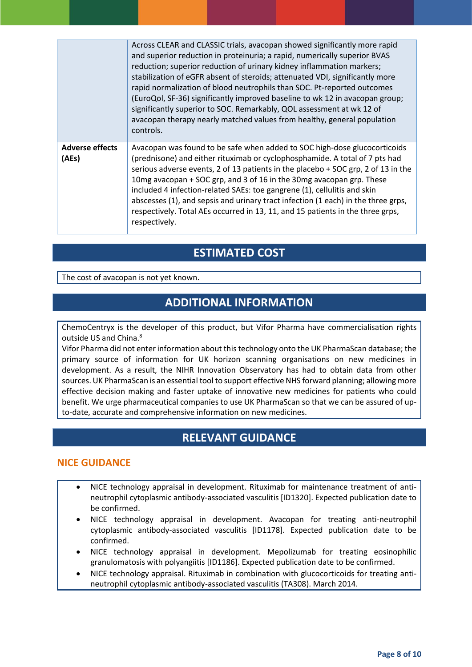|                                 | Across CLEAR and CLASSIC trials, avacopan showed significantly more rapid<br>and superior reduction in proteinuria; a rapid, numerically superior BVAS<br>reduction; superior reduction of urinary kidney inflammation markers;<br>stabilization of eGFR absent of steroids; attenuated VDI, significantly more<br>rapid normalization of blood neutrophils than SOC. Pt-reported outcomes<br>(EuroQol, SF-36) significantly improved baseline to wk 12 in avacopan group;<br>significantly superior to SOC. Remarkably, QOL assessment at wk 12 of<br>avacopan therapy nearly matched values from healthy, general population<br>controls. |
|---------------------------------|---------------------------------------------------------------------------------------------------------------------------------------------------------------------------------------------------------------------------------------------------------------------------------------------------------------------------------------------------------------------------------------------------------------------------------------------------------------------------------------------------------------------------------------------------------------------------------------------------------------------------------------------|
| <b>Adverse effects</b><br>(AEs) | Avacopan was found to be safe when added to SOC high-dose glucocorticoids<br>(prednisone) and either rituximab or cyclophosphamide. A total of 7 pts had<br>serious adverse events, 2 of 13 patients in the placebo + SOC grp, 2 of 13 in the<br>10mg avacopan + SOC grp, and 3 of 16 in the 30mg avacopan grp. These<br>included 4 infection-related SAEs: toe gangrene (1), cellulitis and skin<br>abscesses (1), and sepsis and urinary tract infection (1 each) in the three grps,<br>respectively. Total AEs occurred in 13, 11, and 15 patients in the three grps,<br>respectively.                                                   |

## **ESTIMATED COST**

The cost of avacopan is not yet known.

## **ADDITIONAL INFORMATION**

ChemoCentryx is the developer of this product, but Vifor Pharma have commercialisation rights outside US and China.<sup>[8](#page-1-7)</sup>

Vifor Pharma did not enter information about this technology onto the UK PharmaScan database; the primary source of information for UK horizon scanning organisations on new medicines in development. As a result, the NIHR Innovation Observatory has had to obtain data from other sources. UK PharmaScan is an essential tool to support effective NHS forward planning; allowing more effective decision making and faster uptake of innovative new medicines for patients who could benefit. We urge pharmaceutical companies to use UK PharmaScan so that we can be assured of upto-date, accurate and comprehensive information on new medicines.

## **RELEVANT GUIDANCE**

#### **NICE GUIDANCE**

- NICE technology appraisal in development. Rituximab for maintenance treatment of antineutrophil cytoplasmic antibody-associated vasculitis [ID1320]. Expected publication date to be confirmed.
- NICE technology appraisal in development. Avacopan for treating anti-neutrophil cytoplasmic antibody-associated vasculitis [ID1178]. Expected publication date to be confirmed.
- NICE technology appraisal in development. Mepolizumab for treating eosinophilic granulomatosis with polyangiitis [ID1186]. Expected publication date to be confirmed.
- NICE technology appraisal. Rituximab in combination with glucocorticoids for treating antineutrophil cytoplasmic antibody-associated vasculitis (TA308). March 2014.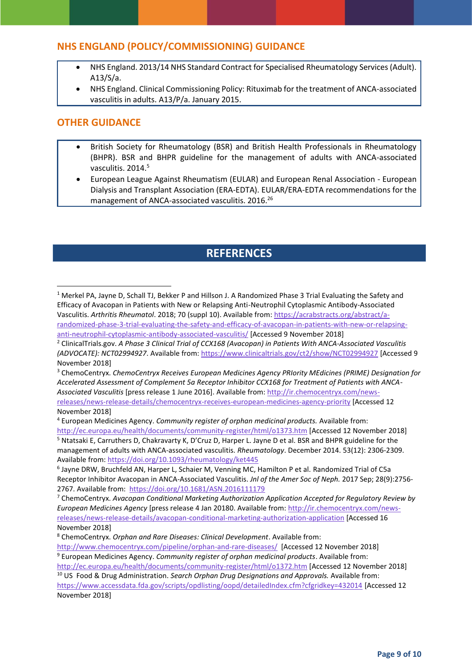#### **NHS ENGLAND (POLICY/COMMISSIONING) GUIDANCE**

- NHS England. 2013/14 NHS Standard Contract for Specialised Rheumatology Services (Adult). A13/S/a.
- NHS England. Clinical Commissioning Policy: Rituximab for the treatment of ANCA-associated vasculitis in adults. A13/P/a. January 2015.

#### **OTHER GUIDANCE**

1

- British Society for Rheumatology (BSR) and British Health Professionals in Rheumatology (BHPR). BSR and BHPR guideline for the management of adults with ANCA-associated vasculitis. 2014.<sup>[5](#page-1-5)</sup>
- European League Against Rheumatism (EULAR) and European Renal Association European Dialysis and Transplant Association (ERA-EDTA). EULAR/ERA-EDTA recommendations for the management of ANCA-associated vasculitis. 2016.<sup>26</sup>

## **REFERENCES**

<sup>3</sup> ChemoCentryx. *ChemoCentryx Receives European Medicines Agency PRIority MEdicines (PRIME) Designation for Accelerated Assessment of Complement 5a Receptor Inhibitor CCX168 for Treatment of Patients with ANCA-Associated Vasculitis* [press release 1 June 2016]. Available from: [http://ir.chemocentryx.com/news-](http://ir.chemocentryx.com/news-releases/news-release-details/chemocentryx-receives-european-medicines-agency-priority)

[releases/news-release-details/chemocentryx-receives-european-medicines-agency-priority](http://ir.chemocentryx.com/news-releases/news-release-details/chemocentryx-receives-european-medicines-agency-priority) [Accessed 12 November 2018]

<sup>1</sup> Merkel PA, Jayne D, Schall TJ, Bekker P and Hillson J. A Randomized Phase 3 Trial Evaluating the Safety and Efficacy of Avacopan in Patients with New or Relapsing Anti-Neutrophil Cytoplasmic Antibody-Associated Vasculitis. *Arthritis Rheumatol*. 2018; 70 (suppl 10). Available from: [https://acrabstracts.org/abstract/a](https://acrabstracts.org/abstract/a-randomized-phase-3-trial-evaluating-the-safety-and-efficacy-of-avacopan-in-patients-with-new-or-relapsing-anti-neutrophil-cytoplasmic-antibody-associated-vasculitis/)[randomized-phase-3-trial-evaluating-the-safety-and-efficacy-of-avacopan-in-patients-with-new-or-relapsing](https://acrabstracts.org/abstract/a-randomized-phase-3-trial-evaluating-the-safety-and-efficacy-of-avacopan-in-patients-with-new-or-relapsing-anti-neutrophil-cytoplasmic-antibody-associated-vasculitis/)[anti-neutrophil-cytoplasmic-antibody-associated-vasculitis/](https://acrabstracts.org/abstract/a-randomized-phase-3-trial-evaluating-the-safety-and-efficacy-of-avacopan-in-patients-with-new-or-relapsing-anti-neutrophil-cytoplasmic-antibody-associated-vasculitis/) [Accessed 9 November 2018]

<sup>2</sup> ClinicalTrials.gov. *A Phase 3 Clinical Trial of CCX168 (Avacopan) in Patients With ANCA-Associated Vasculitis (ADVOCATE): NCT02994927*. Available from:<https://www.clinicaltrials.gov/ct2/show/NCT02994927> [Accessed 9 November 2018]

<sup>4</sup> European Medicines Agency. *Community register of orphan medicinal products.* Available from: <http://ec.europa.eu/health/documents/community-register/html/o1373.htm> [Accessed 12 November 2018] <sup>5</sup> Ntatsaki E, Carruthers D, Chakravarty K, D'Cruz D, Harper L. Jayne D et al. BSR and BHPR guideline for the

management of adults with ANCA-associated vasculitis. *Rheumatology*. December 2014. 53(12): 2306-2309. Available from:<https://doi.org/10.1093/rheumatology/ket445>

<sup>6</sup> Jayne DRW, Bruchfeld AN, Harper L, Schaier M, Venning MC, Hamilton P et al. Randomized Trial of C5a Receptor Inhibitor Avacopan in ANCA-Associated Vasculitis. *Jnl of the Amer Soc of Neph.* 2017 Sep; 28(9):2756- 2767. Available from: <https://doi.org/10.1681/ASN.2016111179>

<sup>7</sup> ChemoCentryx. *Avacopan Conditional Marketing Authorization Application Accepted for Regulatory Review by European Medicines Agency* [press release 4 Jan 20180. Available from[: http://ir.chemocentryx.com/news](http://ir.chemocentryx.com/news-releases/news-release-details/avacopan-conditional-marketing-authorization-application)[releases/news-release-details/avacopan-conditional-marketing-authorization-application](http://ir.chemocentryx.com/news-releases/news-release-details/avacopan-conditional-marketing-authorization-application) [Accessed 16 November 2018]

<sup>8</sup> ChemoCentryx. *Orphan and Rare Diseases: Clinical Development*. Available from:

<http://www.chemocentryx.com/pipeline/orphan-and-rare-diseases/>[Accessed 12 November 2018] <sup>9</sup> European Medicines Agency. *Community register of orphan medicinal products*. Available from: <http://ec.europa.eu/health/documents/community-register/html/o1372.htm> [Accessed 12 November 2018]

<sup>10</sup> US Food & Drug Administration. *Search Orphan Drug Designations and Approvals.* Available from: <https://www.accessdata.fda.gov/scripts/opdlisting/oopd/detailedIndex.cfm?cfgridkey=432014> [Accessed 12 November 2018]